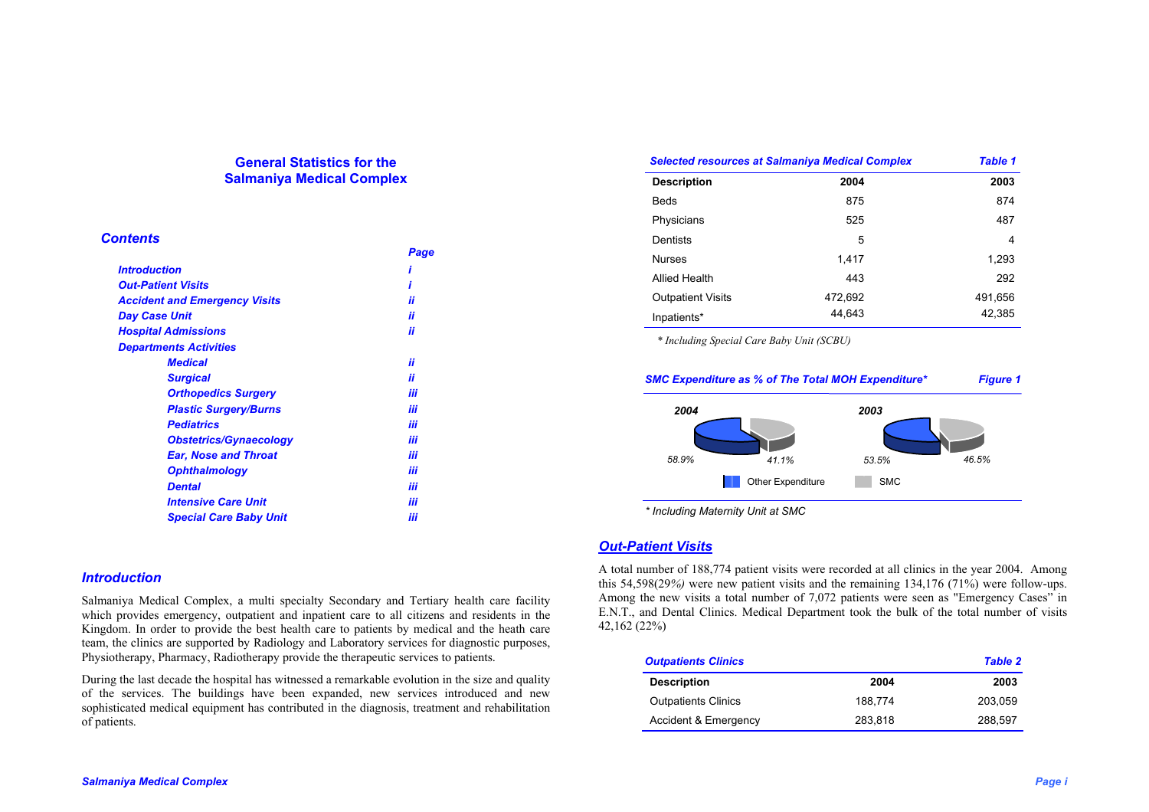## **General Statistics for the Salmaniya Medical Complex**

### *Contents*

|                                      | Page |
|--------------------------------------|------|
| <i><b>Introduction</b></i>           |      |
| <b>Out-Patient Visits</b>            | ,    |
| <b>Accident and Emergency Visits</b> | ii   |
| Day Case Unit                        | ii   |
| <b>Hospital Admissions</b>           | ii   |
| <b>Departments Activities</b>        |      |
| <b>Medical</b>                       | ii   |
| <b>Surgical</b>                      | ii   |
| <b>Orthopedics Surgery</b>           | iii  |
| <b>Plastic Surgery/Burns</b>         | iii  |
| <b>Pediatrics</b>                    | iii  |
| <b>Obstetrics/Gynaecology</b>        | iii  |
| <b>Ear, Nose and Throat</b>          | iii  |
| <b>Ophthalmology</b>                 | iii  |
| <b>Dental</b>                        | iii  |
| <b>Intensive Care Unit</b>           | iii  |
| <b>Special Care Baby Unit</b>        | iii  |

### *Introduction*

Salmaniya Medical Complex, a multi specialty Secondary and Tertiary health care facility which provides emergency, outpatient and inpatient care to all citizens and residents in the Kingdom. In order to provide the best health care to patients by medical and the heath care team, the clinics are supported by Radiology and Laboratory services for diagnostic purposes, Physiotherapy, Pharmacy, Radiotherapy provide the therapeutic services to patients.

During the last decade the hospital has witnessed a remarkable evolution in the size and quality of the services. The buildings have been expanded, new services introduced and new sophisticated medical equipment has contributed in the diagnosis, treatment and rehabilitation of patients.

| <b>Selected resources at Salmaniya Medical Complex</b> |         | <b>Table 1</b> |
|--------------------------------------------------------|---------|----------------|
| <b>Description</b>                                     | 2004    | 2003           |
| Beds                                                   | 875     | 874            |
| Physicians                                             | 525     | 487            |
| Dentists                                               | 5       | 4              |
| <b>Nurses</b>                                          | 1,417   | 1,293          |
| Allied Health                                          | 443     | 292            |
| <b>Outpatient Visits</b>                               | 472,692 | 491,656        |
| Inpatients*                                            | 44.643  | 42,385         |

*\* Including Special Care Baby Unit (SCBU)* 



*\* Including Maternity Unit at SMC* 

### *Out-Patient Visits*

A total number of 188,774 patient visits were recorded at all clinics in the year 2004. Among this 54,598(29*%)* were new patient visits and the remaining 134,176 (71%) were follow-ups. Among the new visits a total number of 7,072 patients were seen as "Emergency Cases" in E.N.T., and Dental Clinics. Medical Department took the bulk of the total number of visits 42,162 (22%)

| <b>Outpatients Clinics</b> |         | <b>Table 2</b> |
|----------------------------|---------|----------------|
| <b>Description</b>         | 2004    | 2003           |
| <b>Outpatients Clinics</b> | 188.774 | 203.059        |
| Accident & Emergency       | 283.818 | 288.597        |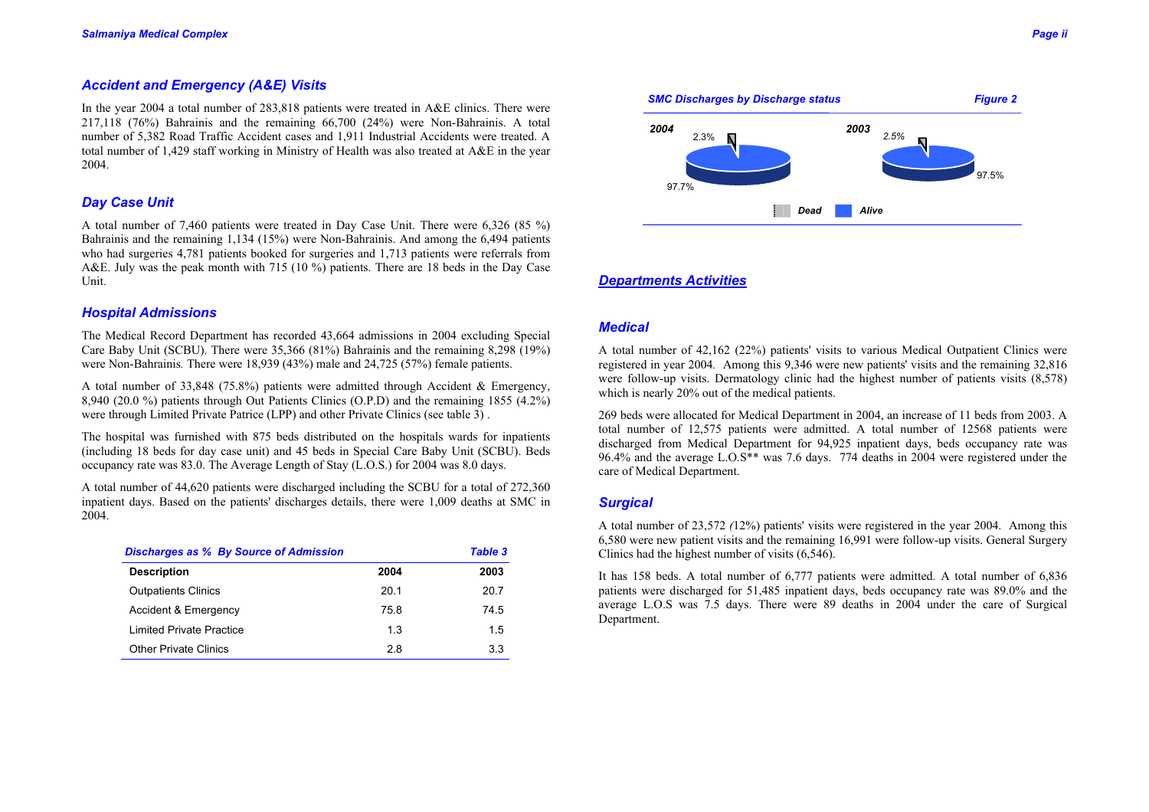# *Accident and Emergency (A&E) Visits*

In the year 2004 a total number of 283,818 patients were treated in A&E clinics. There were 217,118 (76%) Bahrainis and the remaining 66,700 (24%) were Non-Bahrainis. A total number of 5,382 Road Traffic Accident cases and 1,911 Industrial Accidents were treated. A total number of 1,429 staff working in Ministry of Health was also treated at A&E in the year 2004.

## *Day Case Unit*

A total number of 7,460 patients were treated in Day Case Unit. There were 6,326 (85 %) Bahrainis and the remaining 1,134 (15%) were Non-Bahrainis. And among the 6,494 patients who had surgeries 4,781 patients booked for surgeries and 1,713 patients were referrals from A&E. July was the peak month with 715 (10 %) patients. There are 18 beds in the Day Case Unit.

## *Hospital Admissions*

The Medical Record Department has recorded 43,664 admissions in 2004 excluding Special Care Baby Unit (SCBU). There were 35,366 (81%) Bahrainis and the remaining 8,298 (19%) were Non-Bahrainis*.* There were 18,939 (43%) male and 24,725 (57%) female patients.

A total number of 33,848 (75.8%) patients were admitted through Accident & Emergency, 8,940 (20.0 %) patients through Out Patients Clinics (O.P.D) and the remaining 1855 (4.2%) were through Limited Private Patrice (LPP) and other Private Clinics (see table 3) .

The hospital was furnished with 875 beds distributed on the hospitals wards for inpatients (including 18 beds for day case unit) and 45 beds in Special Care Baby Unit (SCBU). Beds occupancy rate was 83.0. The Average Length of Stay (L.O.S.) for 2004 was 8.0 days.

A total number of 44,620 patients were discharged including the SCBU for a total of 272,360 inpatient days. Based on the patients' discharges details, there were 1,009 deaths at SMC in 2004.

| <b>Discharges as % By Source of Admission</b> |      | <b>Table 3</b> |
|-----------------------------------------------|------|----------------|
| <b>Description</b>                            | 2004 | 2003           |
| <b>Outpatients Clinics</b>                    | 201  | 20.7           |
| Accident & Emergency                          | 758  | 74.5           |
| Limited Private Practice                      | 13   | 15             |
| <b>Other Private Clinics</b>                  | 28   | 33             |



## *Departments Activities*

## *Medical*

A total number of 42,162 (22%) patients' visits to various Medical Outpatient Clinics were registered in year 2004*.* Among this 9,346 were new patients' visits and the remaining 32,816 were follow-up visits. Dermatology clinic had the highest number of patients visits (8,578) which is nearly 20% out of the medical patients.

269 beds were allocated for Medical Department in 2004, an increase of 11 beds from 2003. A total number of 12,575 patients were admitted. A total number of 12568 patients were discharged from Medical Department for 94,925 inpatient days, beds occupancy rate was 96.4% and the average L.O.S\*\* was 7.6 days. 774 deaths in 2004 were registered under the care of Medical Department.

## *Surgical*

A total number of 23,572 *(*12%) patients' visits were registered in the year 2004. Among this 6,580 were new patient visits and the remaining 16,991 were follow-up visits. General Surgery Clinics had the highest number of visits (6,546).

It has 158 beds. A total number of 6,777 patients were admitted*.* A total number of 6,836 patients were discharged for 51,485 inpatient days, beds occupancy rate was 89.0% and the average L.O.S was 7.5 days. There were 89 deaths in 2004 under the care of Surgical Department.